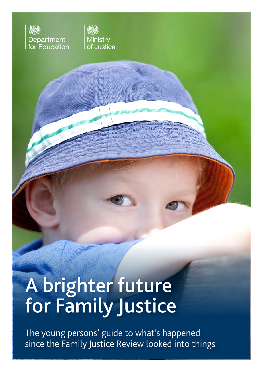



**CONTRACTOR** 

**A TELEVIDE REACTION DE L'ANDRE DE L'ANDRE DE L'ANDRE DE L'ANDRE DE L'ANDRE DE L'ANDRE DE L'ANDRE DE L'ANDRE DE**<br>A TELEVIDITE PER L'ANDRE DE L'ANDRE DE L'ANDRE DE L'ANDRE DE L'ANDRE DE L'ANDRE DE L'ANDRE DE L'ANDRE DE L'AN

# A brighter future for Family Justice

The young persons' guide to what's happened since the Family Justice Review looked into things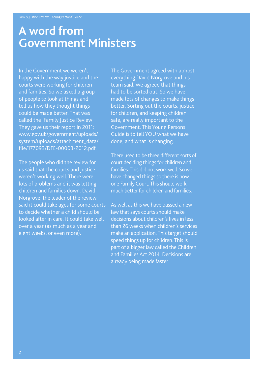### **A word from Government Ministers**

In the Government we weren't happy with the way justice and the courts were working for children and families. So we asked a group of people to look at things and tell us how they thought things could be made better. That was called the 'Family Justice Review'. They gave us their report in 2011: www.gov.uk/government/uploads/ system/uploads/attachment\_data/ file/177093/DFE-00003-2012.pdf.

The people who did the review for us said that the courts and justice weren't working well. There were lots of problems and it was letting children and families down. David Norgrove, the leader of the review, said it could take ages for some courts to decide whether a child should be looked after in care. It could take well over a year (as much as a year and eight weeks, or even more).

The Government agreed with almost everything David Norgrove and his team said. We agreed that things had to be sorted out. So we have made lots of changes to make things better. Sorting out the courts, justice for children, and keeping children safe, are really important to the Government. This Young Persons' Guide is to tell YOU what we have done, and what is changing.

There used to be three different sorts of court deciding things for children and families. This did not work well. So we have changed things so there is now one Family Court. This should work much better for children and families.

As well as this we have passed a new law that says courts should make decisions about children's lives in less than 26 weeks when children's services make an application. This target should speed things up for children. This is part of a bigger law called the Children and Families Act 2014. Decisions are already being made faster.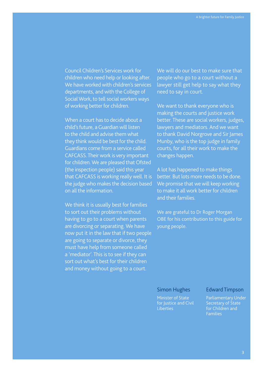Council Children's Services work for children who need help or looking after. We have worked with children's services departments, and with the College of Social Work, to tell social workers ways of working better for children.

When a court has to decide about a child's future, a Guardian will listen to the child and advise them what they think would be best for the child. Guardians come from a service called CAFCASS. Their work is very important for children. We are pleased that Ofsted (the inspection people) said this year that CAFCASS is working really well. It is the judge who makes the decision based on all the information.

We think it is usually best for families to sort out their problems without having to go to a court when parents are divorcing or separating. We have now put it in the law that if two people are going to separate or divorce, they must have help from someone called a 'mediator'. This is to see if they can sort out what's best for their children and money without going to a court.

We will do our best to make sure that people who go to a court without a lawyer still get help to say what they need to say in court.

We want to thank everyone who is making the courts and justice work better. These are social workers, judges, lawyers and mediators. And we want to thank David Norgrove and Sir James Munby, who is the top judge in family courts, for all their work to make the changes happen.

A lot has happened to make things better. But lots more needs to be done. We promise that we will keep working to make it all work better for children and their families.

We are grateful to Dr Roger Morgan OBE for his contribution to this guide for young people.

#### Simon Hughes

Minister of State for Justice and Civil Liberties

#### Edward Timpson

Parliamentary Under Secretary of State for Children and Families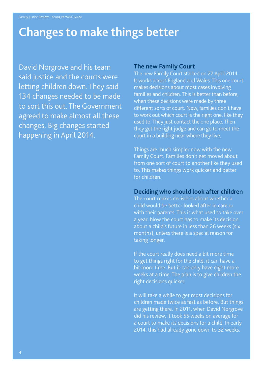### **Changes to make things better**

David Norgrove and his team said justice and the courts were letting children down. They said 134 changes needed to be made to sort this out. The Government agreed to make almost all these changes. Big changes started happening in April 2014.

#### **The new Family Court**

The new Family Court started on 22 April 2014. It works across England and Wales. This one court makes decisions about most cases involving families and children. This is better than before, when these decisions were made by three different sorts of court. Now, families don't have to work out which court is the right one, like they used to. They just contact the one place. Then they get the right judge and can go to meet the court in a building near where they live.

Things are much simpler now with the new Family Court. Families don't get moved about from one sort of court to another like they used to. This makes things work quicker and better for children.

#### **Deciding who should look after children**

The court makes decisions about whether a child would be better looked after in care or with their parents. This is what used to take over a year. Now the court has to make its decision about a child's future in less than 26 weeks (six months), unless there is a special reason for taking longer.

If the court really does need a bit more time to get things right for the child, it can have a bit more time. But it can only have eight more weeks at a time. The plan is to give children the right decisions quicker.

It will take a while to get most decisions for children made twice as fast as before. But things are getting there. In 2011, when David Norgrove did his review, it took 55 weeks on average for a court to make its decisions for a child. In early 2014, this had already gone down to 32 weeks.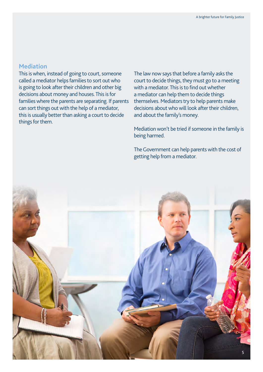#### **Mediation**

This is when, instead of going to court, someone called a mediator helps families to sort out who is going to look after their children and other big decisions about money and houses. This is for families where the parents are separating. If parents can sort things out with the help of a mediator, this is usually better than asking a court to decide things for them.

The law now says that before a family asks the court to decide things, they must go to a meeting with a mediator. This is to find out whether a mediator can help them to decide things themselves. Mediators try to help parents make decisions about who will look after their children, and about the family's money.

Mediation won't be tried if someone in the family is being harmed.

The Government can help parents with the cost of getting help from a mediator.

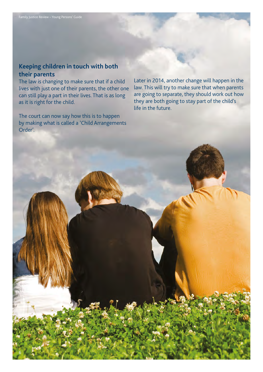#### **Keeping children in touch with both their parents**

The law is changing to make sure that if a child lives with just one of their parents, the other one can still play a part in their lives. That is as long as it is right for the child.

The court can now say how this is to happen by making what is called a 'Child Arrangements Order'.

Later in 2014, another change will happen in the law. This will try to make sure that when parents are going to separate, they should work out how they are both going to stay part of the child's life in the future.

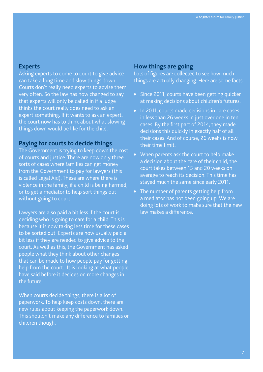#### **Experts**

Asking experts to come to court to give advice can take a long time and slow things down. Courts don't really need experts to advise them very often. So the law has now changed to say that experts will only be called in if a judge thinks the court really does need to ask an expert something. If it wants to ask an expert, the court now has to think about what slowing things down would be like for the child.

#### **Paying for courts to decide things**

The Government is trying to keep down the cost of courts and justice. There are now only three sorts of cases where families can get money from the Government to pay for lawyers (this is called Legal Aid). These are where there is violence in the family, if a child is being harmed, or to get a mediator to help sort things out without going to court.

Lawyers are also paid a bit less if the court is deciding who is going to care for a child. This is because it is now taking less time for these cases to be sorted out. Experts are now usually paid a bit less if they are needed to give advice to the court. As well as this, the Government has asked people what they think about other changes that can be made to how people pay for getting help from the court. It is looking at what people have said before it decides on more changes in the future.

When courts decide things, there is a lot of paperwork. To help keep costs down, there are new rules about keeping the paperwork down. This shouldn't make any difference to families or children though.

#### **How things are going**

Lots of figures are collected to see how much things are actually changing. Here are some facts:

- Since 2011, courts have been getting quicker at making decisions about children's futures.
- In 2011, courts made decisions in care cases in less than 26 weeks in just over one in ten cases. By the first part of 2014, they made decisions this quickly in exactly half of all their cases. And of course, 26 weeks is now their time limit.
- When parents ask the court to help make a decision about the care of their child, the court takes between 15 and 20 weeks on average to reach its decision. This time has stayed much the same since early 2011.
- The number of parents getting help from a mediator has not been going up. We are doing lots of work to make sure that the new law makes a difference.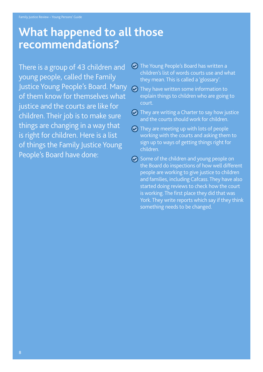### **What happened to all those recommendations?**

There is a group of 43 children and young people, called the Family Justice Young People's Board. Many of them know for themselves what justice and the courts are like for children. Their job is to make sure things are changing in a way that is right for children. Here is a list of things the Family Justice Young People's Board have done:

- **The Young People's Board has written a** children's list of words courts use and what they mean. This is called a 'glossary'.
- **O** They have written some information to explain things to children who are going to court.
- $\odot$  They are writing a Charter to say how justice and the courts should work for children.
- $\odot$  They are meeting up with lots of people working with the courts and asking them to sign up to ways of getting things right for children.
- $\odot$  Some of the children and young people on the Board do inspections of how well different people are working to give justice to children and families, including Cafcass. They have also started doing reviews to check how the court is working. The first place they did that was York. They write reports which say if they think something needs to be changed.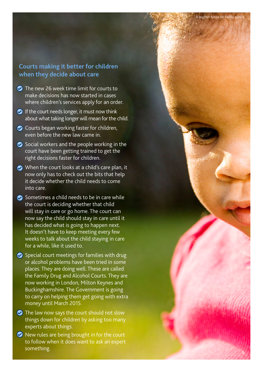9

#### **Courts making it better for children when they decide about care**

- $\bullet$  The new 26 week time limit for courts to make decisions has now started in cases where children's services apply for an order.
- $\bullet$  If the court needs longer, it must now think about what taking longer will mean for the child.
- **•** Courts began working faster for children, even before the new law came in.
- Social workers and the people working in the court have been getting trained to get the right decisions faster for children.
- When the court looks at a child's care plan, it now only has to check out the bits that help it decide whether the child needs to come into care.
- Sometimes a child needs to be in care while the court is deciding whether that child will stay in care or go home. The court can now say the child should stay in care until it has decided what is going to happen next. It doesn't have to keep meeting every few weeks to talk about the child staying in care for a while, like it used to.
- **•** Special court meetings for families with drug or alcohol problems have been tried in some places. They are doing well. These are called the Family Drug and Alcohol Courts. They are now working in London, Milton Keynes and Buckinghamshire. The Government is going to carry on helping them get going with extra money until March 2015.
- **•** The law now says the court should not slow things down for children by asking too many experts about things.
- $\bullet$  New rules are being brought in for the court to follow when it does want to ask an expert something.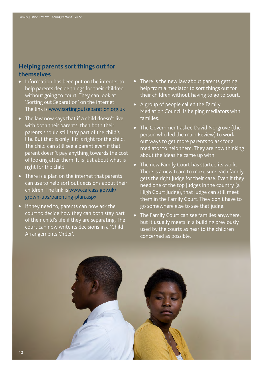#### **Helping parents sort things out for themselves**

- Information has been put on the internet to help parents decide things for their children without going to court. They can look at 'Sorting out Separation' on the internet. The link is www.sortingoutseparation.org.uk
- The law now says that if a child doesn't live with both their parents, then both their parents should still stay part of the child's life. But that is only if it is right for the child. The child can still see a parent even if that parent doesn't pay anything towards the cost of looking after them. It is just about what is right for the child.
- There is a plan on the internet that parents can use to help sort out decisions about their children. The link is www.cafcass.gov.uk/ grown-ups/parenting-plan.aspx
- If they need to, parents can now ask the court to decide how they can both stay part of their child's life if they are separating. The court can now write its decisions in a 'Child Arrangements Order'.
- There is the new law about parents getting help from a mediator to sort things out for their children without having to go to court.
- A group of people called the Family Mediation Council is helping mediators with families.
- The Government asked David Norgrove (the person who led the main Review) to work out ways to get more parents to ask for a mediator to help them. They are now thinking about the ideas he came up with.
- The new Family Court has started its work. There is a new team to make sure each family gets the right judge for their case. Even if they need one of the top judges in the country (a High Court Judge), that judge can still meet them in the Family Court. They don't have to go somewhere else to see that judge.
- The Family Court can see families anywhere, but it usually meets in a building previously used by the courts as near to the children concerned as possible.



10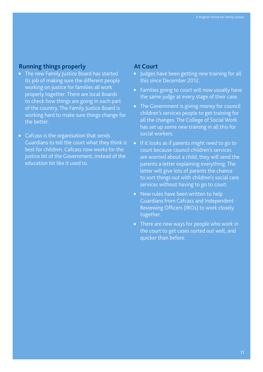#### **Running things properly**

- The new Family Justice Board has started its job of making sure the different people working on justice for families all work properly together. There are local Boards to check how things are going in each part of the country. The Family Justice Board is working hard to make sure things change for the better.
- Cafcass is the organisation that sends Guardians to tell the court what they think is best for children. Cafcass now works for the justice bit of the Government, instead of the education bit like it used to.

#### **At Court**

- Judges have been getting new training for all this since December 2012.
- Families going to court will now usually have the same judge at every stage of their case.
- The Government is giving money for council children's services people to get training for all the changes. The College of Social Work has set up some new training in all this for social workers.
- If it looks as if parents might need to go to court because council children's services are worried about a child, they will send the parents a letter explaining everything. The letter will give lots of parents the chance to sort things out with children's social care services without having to go to court.
- New rules have been written to help Guardians from Cafcass and Independent Reviewing Officers (IROs) to work closely together.
- There are new ways for people who work in the court to get cases sorted out well, and quicker than before.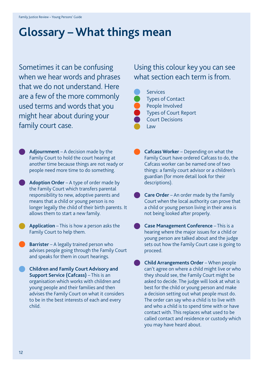## **Glossary – What things mean**

Sometimes it can be confusing when we hear words and phrases that we do not understand. Here are a few of the more commonly used terms and words that you might hear about during your family court case.

**Adjournment** – A decision made by the Family Court to hold the court hearing at another time because things are not ready or people need more time to do something.

**Adoption Order** – A type of order made by the Family Court which transfers parental responsibility to new, adoptive parents and means that a child or young person is no longer legally the child of their birth parents. It allows them to start a new family.

**Application** – This is how a person asks the Family Court to help them.

**Barrister** – A legally trained person who advises people going through the Family Court and speaks for them in court hearings.

**Children and Family Court Advisory and Support Service (Cafcass)** – This is an organisation which works with children and young people and their families and then advises the Family Court on what it considers to be in the best interests of each and every child.

### Using this colour key you can see what section each term is from.



Types of Contact People Involved Types of Court Report Court Decisions

**Cafcass Worker** – Depending on what the Family Court have ordered Cafcass to do, the Cafcass worker can be named one of two things: a family court advisor or a children's guardian (for more detail look for their descriptions).

- **Care Order** An order made by the Family Court when the local authority can prove that a child or young person living in their area is not being looked after properly.
- **Case Management Conference** This is a hearing where the major issues for a child or young person are talked about and the judge sets out how the Family Court case is going to proceed.

**Child Arrangements Order** – When people can't agree on where a child might live or who they should see, the Family Court might be asked to decide. The judge will look at what is best for the child or young person and make a decision setting out what people must do. The order can say who a child is to live with and who a child is to spend time with or have contact with. This replaces what used to be called contact and residence or custody which you may have heard about.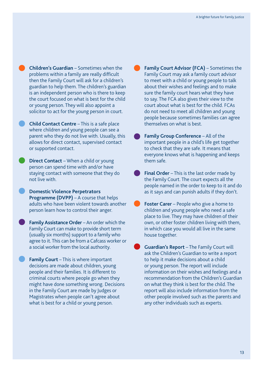**Children's Guardian** – Sometimes when the problems within a family are really difficult then the Family Court will ask for a children's guardian to help them. The children's guardian is an independent person who is there to keep the court focused on what is best for the child or young person. They will also appoint a solicitor to act for the young person in court.

**Child Contact Centre** – This is a safe place where children and young people can see a parent who they do not live with. Usually, this allows for direct contact, supervised contact or supported contact.

**Direct Contact** – When a child or young person can spend time with and/or have staying contact with someone that they do not live with.

**Domestic Violence Perpetrators Programme (DVPP)** – A course that helps adults who have been violent towards another person learn how to control their anger.

**Family Assistance Order** – An order which the Family Court can make to provide short term (usually six months) support to a family who agree to it. This can be from a Cafcass worker or a social worker from the local authority.

**Family Court** – This is where important decisions are made about children, young people and their families. It is different to criminal courts where people go when they might have done something wrong. Decisions in the Family Court are made by Judges or Magistrates when people can't agree about what is best for a child or young person.

**Family Court Advisor (FCA)** – Sometimes the Family Court may ask a family court advisor to meet with a child or young people to talk about their wishes and feelings and to make sure the family court hears what they have to say. The FCA also gives their view to the court about what is best for the child. FCAs do not need to meet all children and young people because sometimes families can agree themselves on what is best.

**Family Group Conference** – All of the important people in a child's life get together to check that they are safe. It means that everyone knows what is happening and keeps them safe.

**Final Order** – This is the last order made by the Family Court. The court expects all the people named in the order to keep to it and do as it says and can punish adults if they don't.

**Foster Carer** – People who give a home to children and young people who need a safe place to live. They may have children of their own, or other foster children living with them, in which case you would all live in the same house together.

**Guardian's Report** – The Family Court will ask the Children's Guardian to write a report to help it make decisions about a child or young person. The report will include information on their wishes and feelings and a recommendation from the Children's Guardian on what they think is best for the child. The report will also include information from the other people involved such as the parents and any other individuals such as experts.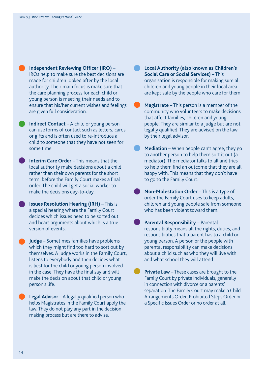**Independent Reviewing Officer (IRO)** – IROs help to make sure the best decisions are made for children looked after by the local authority. Their main focus is make sure that the care planning process for each child or young person is meeting their needs and to ensure that his/her current wishes and feelings are given full consideration.

**Indirect Contact** – A child or young person can use forms of contact such as letters, cards or gifts and is often used to re-introduce a child to someone that they have not seen for some time.

**Interim Care Order** – This means that the local authority make decisions about a child rather than their own parents for the short term, before the Family Court makes a final order. The child will get a social worker to make the decisions day-to-day.

**Issues Resolution Hearing (IRH)** – This is a special hearing where the Family Court decides which issues need to be sorted out and hears arguments about which is a true version of events.

**Judge** – Sometimes families have problems which they might find too hard to sort out by themselves. A judge works in the Family Court, listens to everybody and then decides what is best for the child or young person involved in the case. They have the final say and will make the decision about that child or young person's life.

**Legal Advisor** – A legally qualified person who helps Magistrates in the Family Court apply the law. They do not play any part in the decision making process but are there to advise.

**Local Authority (also known as Children's Social Care or Social Services)** – This organisation is responsible for making sure all children and young people in their local area are kept safe by the people who care for them.

**Magistrate** – This person is a member of the community who volunteers to make decisions that affect families, children and young people. They are similar to a judge but are not legally qualified. They are advised on the law by their legal advisor.

**Mediation** – When people can't agree, they go to another person to help them sort it out (a mediator). The mediator talks to all and tries to help them find an outcome that they are all happy with. This means that they don't have to go to the Family Court.

**Non-Molestation Order** – This is a type of order the Family Court uses to keep adults, children and young people safe from someone who has been violent toward them.

**Parental Responsibility** – Parental responsibility means all the rights, duties, and responsibilities that a parent has to a child or young person. A person or the people with parental responsibility can make decisions about a child such as who they will live with and what school they will attend.

**Private Law** – These cases are brought to the Family Court by private individuals, generally in connection with divorce or a parents' separation. The Family Court may make a Child Arrangements Order, Prohibited Steps Order or a Specific Issues Order or no order at all.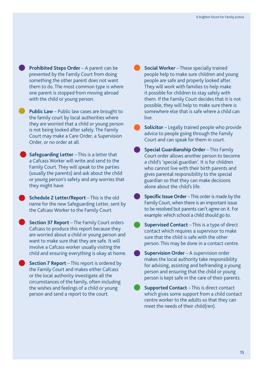**Prohibited Steps Order** – A parent can be prevented by the Family Court from doing something the other parent does not want them to do. The most common type is where one parent is stopped from moving abroad with the child or young person.

**Public Law** – Public law cases are brought to the family court by local authorities where they are worried that a child or young person is not being looked after safely. The Family Court may make a Care Order, a Supervision Order, or no order at all.

**Safeguarding Letter** – This is a letter that a Cafcass Worker will write and send to the Family Court. They will speak to the parties (usually the parents) and ask about the child or young person's safety and any worries that they might have.

**Schedule 2 Letter/Report** – This is the old name for the new Safeguarding Letter, sent by the Cafcass Worker to the Family Court.

**Section 37 Report** – The Family Court orders Cafcass to produce this report because they are worried about a child or young person and want to make sure that they are safe. It will involve a Cafcass worker usually visiting the child and ensuring everything is okay at home.

**Section 7 Report** – This report is ordered by the Family Court and makes either Cafcass or the local authority investigate all the circumstances of the family, often including the wishes and feelings of a child or young person and send a report to the court.

**Social Worker** – These specially trained people help to make sure children and young people are safe and properly looked after. They will work with families to help make it possible for children to stay safely with them. If the Family Court decides that it is not possible, they will help to make sure there is somewhere else that is safe where a child can live.

**Solicitor** – Legally trained people who provide advice to people going through the Family Court and can speak for them in court.

**Special Guardianship Order - This Family** Court order allows another person to become a child's 'special guardian'. It is for children who cannot live with their birth parents and gives parental responsibility to the special guardian so that they can make decisions alone about the child's life.

**Specific Issue Order** – This order is made by the Family Court, when there is an important issue to be resolved but parents can't agree on it. For example: which school a child should go to.

**Supervised Contact** – This is a type of direct contact which requires a supervisor to make sure that the child is safe with the other person. This may be done in a contact centre.

**Supervision Order** – A supervision order makes the local authority take responsibility for advising, assisting and befriending a young person and ensuring that the child or young person is kept safe in the care of their parents.

**Supported Contact** – This is direct contact which gives some support from a child contact centre worker to the adults so that they can meet the needs of their child(ren).